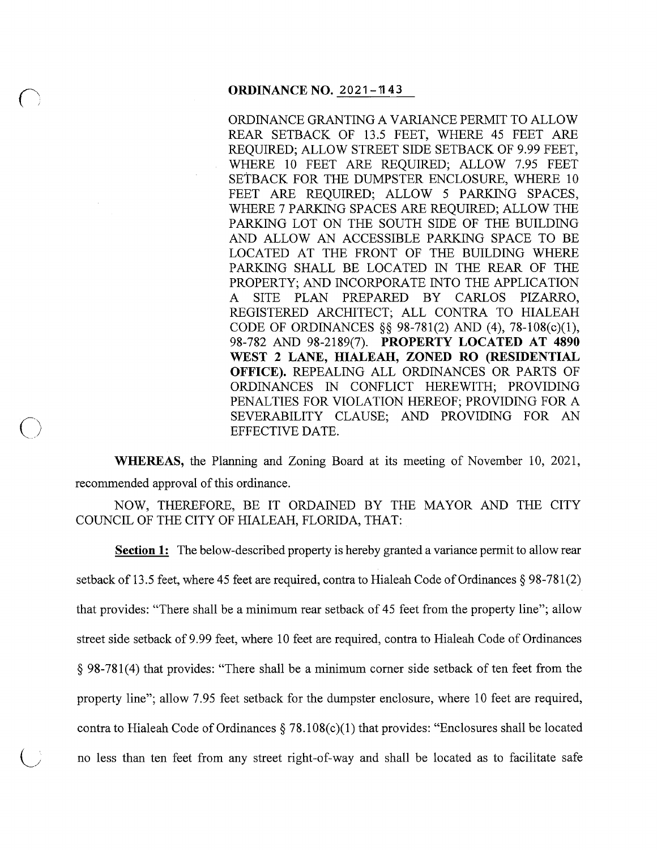#### **ORDINANCE NO. 2021-1143**

ORDINANCE GRANTING A VARIANCE PERMIT TO ALLOW REAR SETBACK OF 13.5 FEET, WHERE 45 FEET ARE REQUIRED; ALLOW STREET SIDE SETBACK OF 9.99 FEET, WHERE 10 FEET ARE REQUIRED; ALLOW 7.95 FEET SETBACK FOR THE DUMPSTER ENCLOSURE, WHERE 10 FEET ARE REQUIRED; ALLOW 5 PARKING SPACES, WHERE 7 PARKING SPACES ARE REQUIRED; ALLOW THE PARKING LOT ON THE SOUTH SIDE OF THE BUILDING AND ALLOW AN ACCESSIBLE PARKING SPACE TO BE LOCATED AT THE FRONT OF THE BUILDING WHERE PARKING SHALL BE LOCATED IN THE REAR OF THE PROPERTY; AND INCORPORATE INTO THE APPLICATION A SITE PLAN PREPARED BY CARLOS PIZARRO, REGISTERED ARCHITECT; ALL CONTRA TO HIALEAH CODE OF ORDINANCES§§ 98-781(2) AND (4), 78-108(c)(l), 98-782 AND 98-2189(7). **PROPERTY LOCATED AT 4890 WEST 2 LANE, HIALEAH, ZONED RO (RESIDENTIAL OFFICE).** REPEALING ALL ORDINANCES OR PARTS OF ORDINANCES IN CONFLICT HEREWITH; PROVIDING PENALTIES FOR VIOLATION HEREOF; PROVIDING FOR A SEVERABILITY CLAUSE; AND PROVIDING FOR AN EFFECTIVE DATE.

**WHEREAS,** the Planning and Zoning Board at its meeting of November 10, 2021, recommended approval of this ordinance.

 $\bigcirc$ 

NOW, THEREFORE, BE IT ORDAINED BY THE MAYOR AND THE CITY COUNCIL OF THE CITY OF HIALEAH, FLORIDA, THAT:

**Section 1:** The below-described property is hereby granted a variance permit to allow rear setback of 13.5 feet, where 45 feet are required, contra to Hialeah Code of Ordinances § 98-781(2) that provides: "There shall be a minimum rear setback of 45 feet from the property line"; allow street side setback of 9.99 feet, where 10 feet are required, contra to Hialeah Code of Ordinances § 98-781(4) that provides: "There shall be a minimum corner side setback of ten feet from the property line"; allow 7.95 feet setback for the dumpster enclosure, where 10 feet are required, contra to Hialeah Code of Ordinances  $\S 78.108(c)(1)$  that provides: "Enclosures shall be located no less than ten feet from any street right-of-way and shall be located as to facilitate safe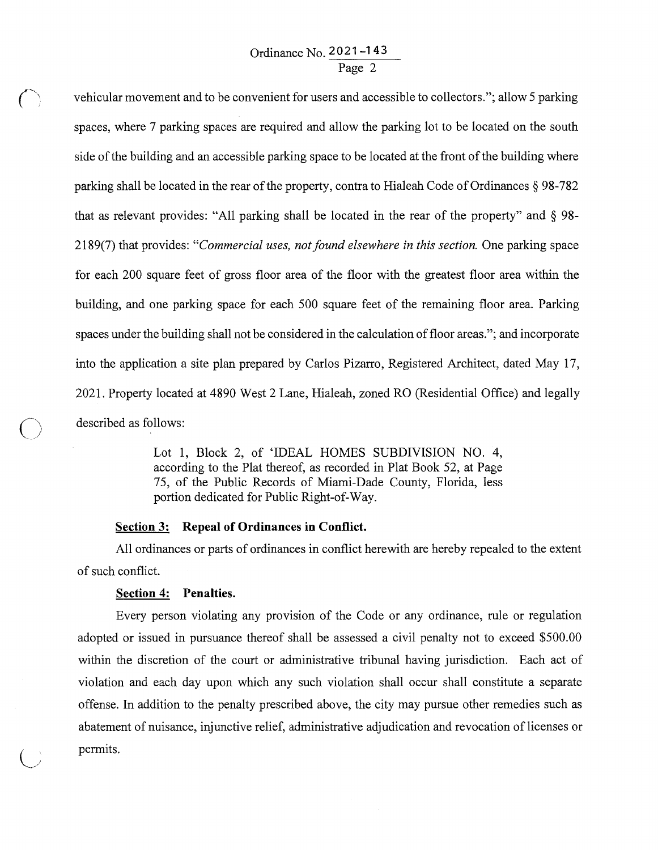# Ordinance No. **2021-143**  Page 2

*r:* vehicular movement and to be convenient for users and accessible to collectors."; allow 5 parking spaces, where 7 parking spaces are required and allow the parking lot to be located on the south side of the building and an accessible parking space to be located at the front of the building where parking shall be located in the rear of the property, contra to Hialeah Code of Ordinances § 98-782 that as relevant provides: "All parking shall be located in the rear of the property" and § 98- 2189(7) that provides: *"Commercial uses, not found elsewhere in this section.* One parking space for each 200 square feet of gross floor area of the floor with the greatest floor area within the building, and one parking space for each 500 square feet of the remaining floor area. Parking spaces under the building shall not be considered in the calculation of floor areas."; and incorporate into the application a site plan prepared by Carlos Pizarro, Registered Architect, dated May 17, 2021. Property located at 4890 West 2 Lane, Hialeah, zoned RO (Residential Office) and legally described as follows:

> Lot 1, Block 2, of 'IDEAL HOMES SUBDIVISION NO. 4, according to the Plat thereof, as recorded in Plat Book 52, at Page 75, of the Public Records of Miami-Dade County, Florida, less portion dedicated for Public Right-of-Way.

#### **Section 3: Repeal of Ordinances in Conflict.**

All ordinances or parts of ordinances in conflict herewith are hereby repealed to the extent of such conflict.

## **Section 4: Penalties.**

 $\bigcirc$ 

Every person violating any provision of the Code or any ordinance, rule or regulation adopted or issued in pursuance thereof shall be assessed a civil penalty not to exceed \$500.00 within the discretion of the court or administrative tribunal having jurisdiction. Each act of violation and each day upon which any such violation shall occur shall constitute a separate offense. In addition to the penalty prescribed above, the city may pursue other remedies such as abatement of nuisance, injunctive relief, administrative adjudication and revocation of licenses or permits.